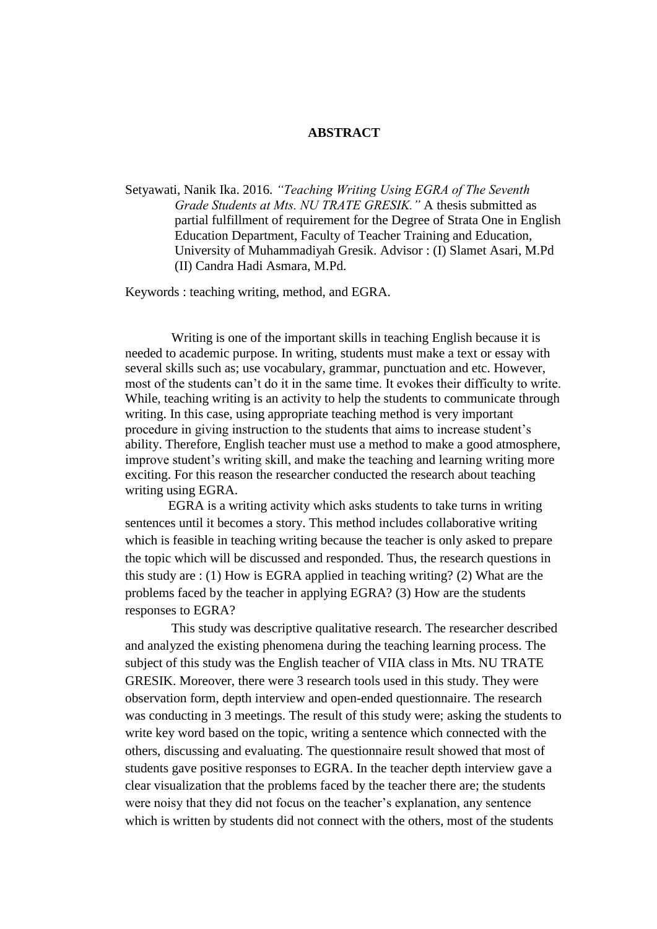## **ABSTRACT**

Setyawati, Nanik Ika. 2016. *"Teaching Writing Using EGRA of The Seventh Grade Students at Mts. NU TRATE GRESIK."* A thesis submitted as partial fulfillment of requirement for the Degree of Strata One in English Education Department, Faculty of Teacher Training and Education, University of Muhammadiyah Gresik. Advisor : (I) Slamet Asari, M.Pd (II) Candra Hadi Asmara, M.Pd.

Keywords : teaching writing, method, and EGRA.

 Writing is one of the important skills in teaching English because it is needed to academic purpose. In writing, students must make a text or essay with several skills such as; use vocabulary, grammar, punctuation and etc. However, most of the students can't do it in the same time. It evokes their difficulty to write. While, teaching writing is an activity to help the students to communicate through writing. In this case, using appropriate teaching method is very important procedure in giving instruction to the students that aims to increase student's ability. Therefore, English teacher must use a method to make a good atmosphere, improve student's writing skill, and make the teaching and learning writing more exciting. For this reason the researcher conducted the research about teaching writing using EGRA.

EGRA is a writing activity which asks students to take turns in writing sentences until it becomes a story. This method includes collaborative writing which is feasible in teaching writing because the teacher is only asked to prepare the topic which will be discussed and responded. Thus, the research questions in this study are : (1) How is EGRA applied in teaching writing? (2) What are the problems faced by the teacher in applying EGRA? (3) How are the students responses to EGRA?

 This study was descriptive qualitative research. The researcher described and analyzed the existing phenomena during the teaching learning process. The subject of this study was the English teacher of VIIA class in Mts. NU TRATE GRESIK. Moreover, there were 3 research tools used in this study. They were observation form, depth interview and open-ended questionnaire. The research was conducting in 3 meetings. The result of this study were; asking the students to write key word based on the topic, writing a sentence which connected with the others, discussing and evaluating. The questionnaire result showed that most of students gave positive responses to EGRA. In the teacher depth interview gave a clear visualization that the problems faced by the teacher there are; the students were noisy that they did not focus on the teacher's explanation, any sentence which is written by students did not connect with the others, most of the students